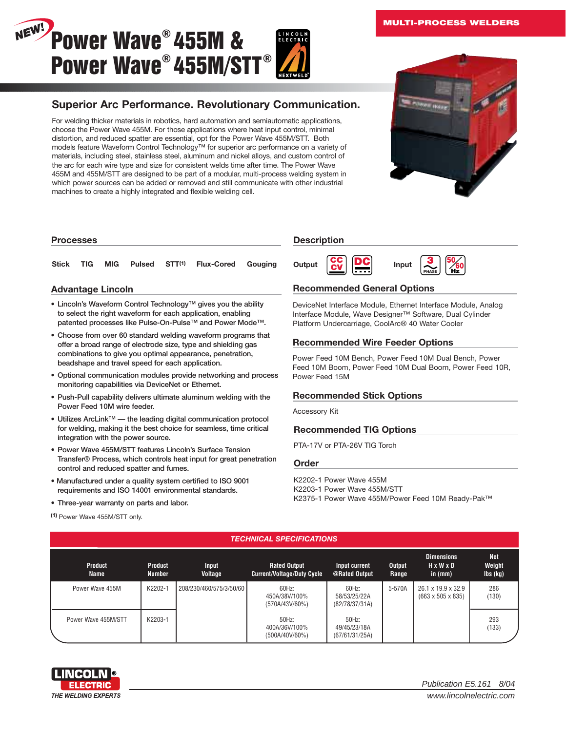#### **MULTI-PROCESS WELDERS**



# **Superior Arc Performance. Revolutionary Communication.**

For welding thicker materials in robotics, hard automation and semiautomatic applications, choose the Power Wave 455M. For those applications where heat input control, minimal distortion, and reduced spatter are essential, opt for the Power Wave 455M/STT. Both models feature Waveform Control Technology™ for superior arc performance on a variety of materials, including steel, stainless steel, aluminum and nickel alloys, and custom control of the arc for each wire type and size for consistent welds time after time. The Power Wave 455M and 455M/STT are designed to be part of a modular, multi-process welding system in which power sources can be added or removed and still communicate with other industrial machines to create a highly integrated and flexible welding cell.



### **Processes**

# **Stick TIG MIG Pulsed STT<sup>(1)</sup> Flux-Cored Gouging Output CV DC Input**

# **Advantage Lincoln**

- **• Lincoln's Waveform Control Technology™ gives you the ability to select the right waveform for each application, enabling patented processes like Pulse-On-Pulse™ and Power Mode™.**
- **• Choose from over 60 standard welding waveform programs that offer a broad range of electrode size, type and shielding gas combinations to give you optimal appearance, penetration, beadshape and travel speed for each application.**
- **• Optional communication modules provide networking and process monitoring capabilities via DeviceNet or Ethernet.**
- **• Push-Pull capability delivers ultimate aluminum welding with the Power Feed 10M wire feeder.**
- **• Utilizes ArcLink™ the leading digital communication protocol for welding, making it the best choice for seamless, time critical integration with the power source.**
- **• Power Wave 455M/STT features Lincoln's Surface Tension Transfer® Process, which controls heat input for great penetration control and reduced spatter and fumes.**
- **Manufactured under a quality system certified to ISO 9001 requirements and ISO 14001 environmental standards.**
- **• Three-year warranty on parts and labor.**

# **Description**



# **Recommended General Options**

DeviceNet Interface Module, Ethernet Interface Module, Analog Interface Module, Wave Designer™ Software, Dual Cylinder Platform Undercarriage, CoolArc® 40 Water Cooler

# **Recommended Wire Feeder Options**

Power Feed 10M Bench, Power Feed 10M Dual Bench, Power Feed 10M Boom, Power Feed 10M Dual Boom, Power Feed 10R, Power Feed 15M

# **Recommended Stick Options**

Accessory Kit

# **Recommended TIG Options**

PTA-17V or PTA-26V TIG Torch

#### **Order**

K2202-1 Power Wave 455M K2203-1 Power Wave 455M/STT K2375-1 Power Wave 455M/Power Feed 10M Ready-Pak™

# **(1)** Power Wave 455M/STT only.

# *TECHNICAL SPECIFICATIONS*

| <b>Product</b><br><b>Name</b> | <b>Product</b><br><b>Number</b> | Input<br>Voltage        | <b>Rated Output</b><br><b>Current/Voltage/Duty Cycle</b> | Input current<br>@Rated Output          | <b>Output</b><br>Range | <b>Dimensions</b><br>HxWxD<br>in $(mm)$                         | <b>Net</b><br>Weight<br>$\mathsf{lbs}(\mathsf{kg})$ |
|-------------------------------|---------------------------------|-------------------------|----------------------------------------------------------|-----------------------------------------|------------------------|-----------------------------------------------------------------|-----------------------------------------------------|
| Power Wave 455M               | K2202-1                         | 208/230/460/575/3/50/60 | 60Hz<br>450A/38V/100%<br>(570A/43V/60%)                  | 60Hz:<br>58/53/25/22A<br>(82/78/37/31A) | 5-570A                 | $26.1 \times 19.9 \times 32.9$<br>$(663 \times 505 \times 835)$ | 286<br>(130)                                        |
| Power Wave 455M/STT           | K2203-1                         |                         | 50Hz<br>400A/36V/100%<br>(500A/40V/60%)                  | 50Hz:<br>49/45/23/18A<br>(67/61/31/25A) |                        |                                                                 | 293<br>(133)                                        |



Publication E5.161 8/04 www.lincolnelectric.com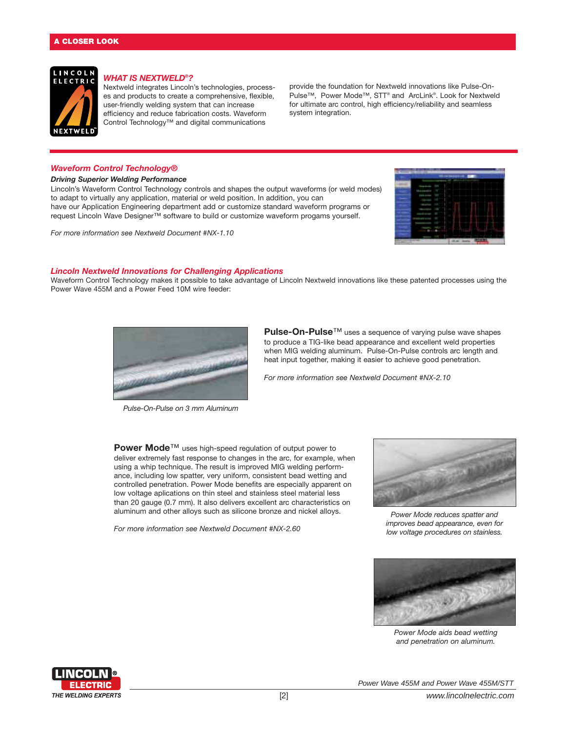

# *WHAT IS NEXTWELD®?*

Nextweld integrates Lincoln's technologies, processes and products to create a comprehensive, flexible, user-friendly welding system that can increase efficiency and reduce fabrication costs. Waveform Control Technology™ and digital communications

provide the foundation for Nextweld innovations like Pulse-On-Pulse™, Power Mode™, STT® and ArcLink®. Look for Nextweld for ultimate arc control, high efficiency/reliability and seamless system integration.

#### *Waveform Control Technology®*

#### *Driving Superior Welding Performance*

Lincoln's Waveform Control Technology controls and shapes the output waveforms (or weld modes) to adapt to virtually any application, material or weld position. In addition, you can have our Application Engineering department add or customize standard waveform programs or request Lincoln Wave Designer™ software to build or customize waveform progams yourself.





#### *Lincoln Nextweld Innovations for Challenging Applications*

Waveform Control Technology makes it possible to take advantage of Lincoln Nextweld innovations like these patented processes using the Power Wave 455M and a Power Feed 10M wire feeder:



*Pulse-On-Pulse on 3 mm Aluminum*

**Pulse-On-Pulse™** uses a sequence of varying pulse wave shapes to produce a TIG-like bead appearance and excellent weld properties when MIG welding aluminum. Pulse-On-Pulse controls arc length and heat input together, making it easier to achieve good penetration.

*For more information see Nextweld Document #NX-2.10*

**Power Mode**™ uses high-speed regulation of output power to deliver extremely fast response to changes in the arc, for example, when using a whip technique. The result is improved MIG welding performance, including low spatter, very uniform, consistent bead wetting and controlled penetration. Power Mode benefits are especially apparent on low voltage aplications on thin steel and stainless steel material less than 20 gauge (0.7 mm). It also delivers excellent arc characteristics on aluminum and other alloys such as silicone bronze and nickel alloys.

*For more information see Nextweld Document #NX-2.60*



*Power Mode reduces spatter and improves bead appearance, even for low voltage procedures on stainless.*



*Power Mode aids bead wetting and penetration on aluminum.*

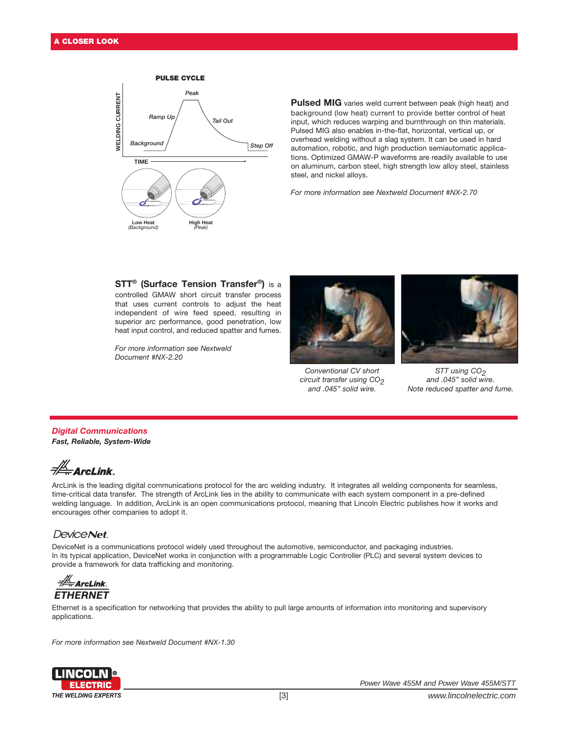

Pulsed MIG varies weld current between peak (high heat) and background (low heat) current to provide better control of heat input, which reduces warping and burnthrough on thin materials. Pulsed MIG also enables in-the-flat, horizontal, vertical up, or overhead welding without a slag system. It can be used in hard automation, robotic, and high production semiautomatic applications. Optimized GMAW-P waveforms are readily available to use on aluminum, carbon steel, high strength low alloy steel, stainless steel, and nickel alloys.

*For more information see Nextweld Document #NX-2.70*

# **STT® (Surface Tension Transfer®)** is a

controlled GMAW short circuit transfer process that uses current controls to adjust the heat independent of wire feed speed, resulting in superior arc performance, good penetration, low heat input control, and reduced spatter and fumes.

*For more information see Nextweld Document #NX-2.20*



*Conventional CV short circuit transfer using CO2 and .045" solid wire.*



*STT using CO2 and .045" solid wire. Note reduced spatter and fume.*

#### *Digital Communications Fast, Reliable, System-Wide*



ArcLink is the leading digital communications protocol for the arc welding industry. It integrates all welding components for seamless, time-critical data transfer. The strength of ArcLink lies in the ability to communicate with each system component in a pre-defined welding language. In addition, ArcLink is an open communications protocol, meaning that Lincoln Electric publishes how it works and encourages other companies to adopt it.

# **DeviceNet**

DeviceNet is a communications protocol widely used throughout the automotive, semiconductor, and packaging industries. In its typical application, DeviceNet works in conjunction with a programmable Logic Controller (PLC) and several system devices to provide a framework for data trafficking and monitoring.

 $\frac{1}{2\pi}$ ArcLink. **ETHERNET** 

Ethernet is a specification for networking that provides the ability to pull large amounts of information into monitoring and supervisory applications.

*For more information see Nextweld Document #NX-1.30*

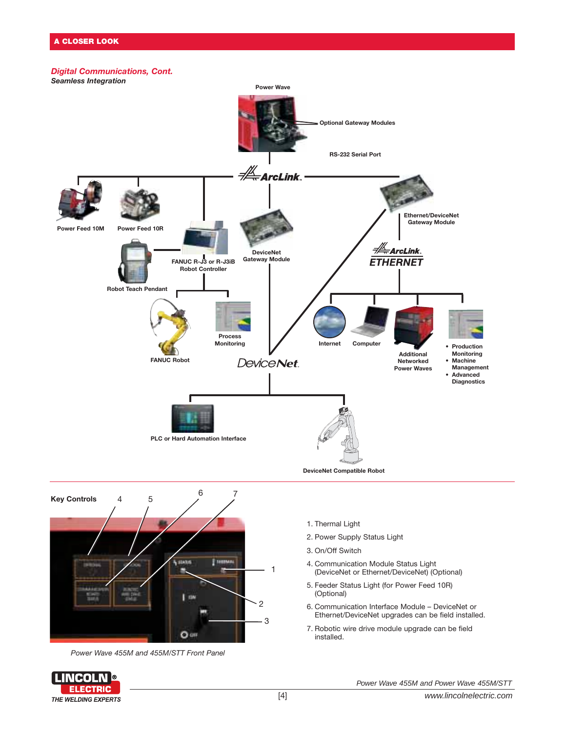# *Digital Communications, Cont.*





*Power Wave 455M and 455M/STT Front Panel*



1. Thermal Light

- 2. Power Supply Status Light
- 3. On/Off Switch
- 4. Communication Module Status Light (DeviceNet or Ethernet/DeviceNet) (Optional)
- 5. Feeder Status Light (for Power Feed 10R) (Optional)
- 6. Communication Interface Module DeviceNet or Ethernet/DeviceNet upgrades can be field installed.
- 7. Robotic wire drive module upgrade can be field installed.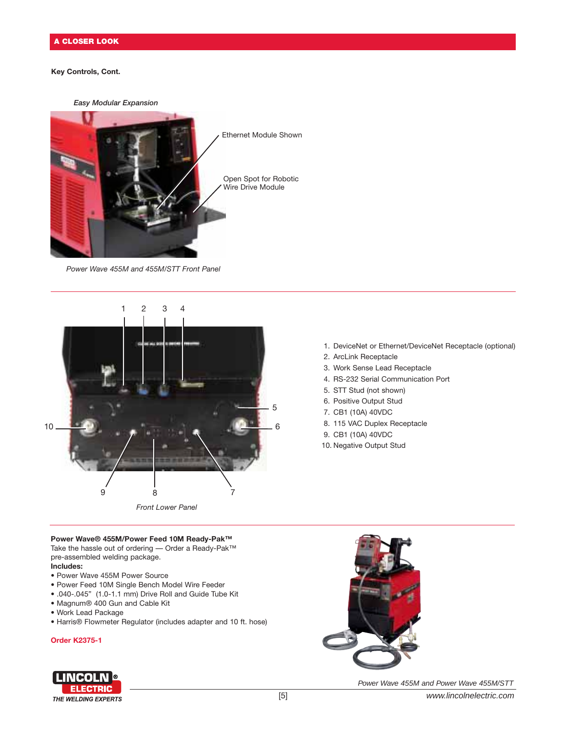# **Key Controls, Cont.**



*Power Wave 455M and 455M/STT Front Panel*



- 1. DeviceNet or Ethernet/DeviceNet Receptacle (optional)
- 2. ArcLink Receptacle
- 3. Work Sense Lead Receptacle
- 4. RS-232 Serial Communication Port
- 5. STT Stud (not shown)
- 6. Positive Output Stud
- 7. CB1 (10A) 40VDC
- 8. 115 VAC Duplex Receptacle
- 9. CB1 (10A) 40VDC
- 10. Negative Output Stud

#### **Power Wave® 455M/Power Feed 10M Ready-Pak™**

Take the hassle out of ordering — Order a Ready-Pak™ pre-assembled welding package. **Includes:**

- 
- Power Wave 455M Power Source
- Power Feed 10M Single Bench Model Wire Feeder
- .040-.045" (1.0-1.1 mm) Drive Roll and Guide Tube Kit
- Magnum® 400 Gun and Cable Kit
- Work Lead Package
- Harris® Flowmeter Regulator (includes adapter and 10 ft. hose)

#### **Order K2375-1**





Power Wave 455M and Power Wave 455M/STT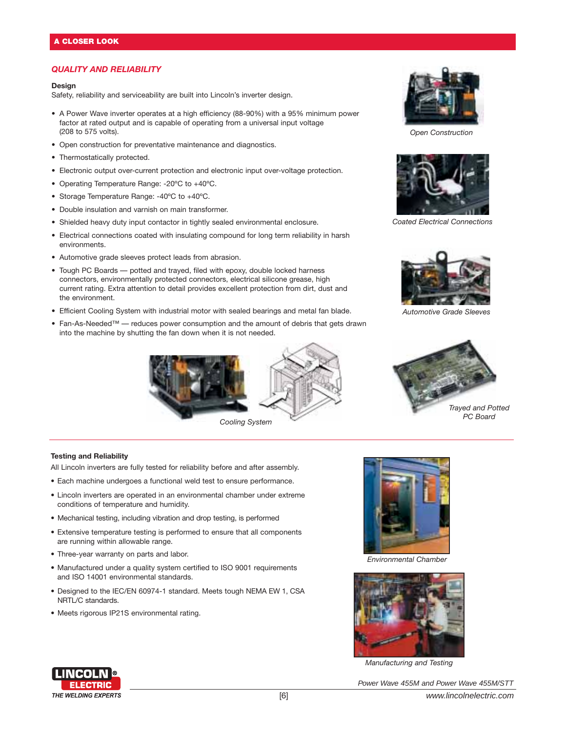# *QUALITY AND RELIABILITY*

#### **Design**

Safety, reliability and serviceability are built into Lincoln's inverter design.

- A Power Wave inverter operates at a high efficiency (88-90%) with a 95% minimum power factor at rated output and is capable of operating from a universal input voltage (208 to 575 volts).
- Open construction for preventative maintenance and diagnostics.
- Thermostatically protected.
- Electronic output over-current protection and electronic input over-voltage protection.
- Operating Temperature Range: -20ºC to +40ºC.
- Storage Temperature Range: -40ºC to +40ºC.
- Double insulation and varnish on main transformer.
- Shielded heavy duty input contactor in tightly sealed environmental enclosure.
- Electrical connections coated with insulating compound for long term reliability in harsh environments.
- Automotive grade sleeves protect leads from abrasion.
- Tough PC Boards potted and trayed, filed with epoxy, double locked harness connectors, environmentally protected connectors, electrical silicone grease, high current rating. Extra attention to detail provides excellent protection from dirt, dust and the environment.
- Efficient Cooling System with industrial motor with sealed bearings and metal fan blade.
- Fan-As-Needed™ reduces power consumption and the amount of debris that gets drawn into the machine by shutting the fan down when it is not needed.



*Cooling System*



*Open Construction*



*Coated Electrical Connections*



*Automotive Grade Sleeves*



### **Testing and Reliability**

All Lincoln inverters are fully tested for reliability before and after assembly.

- Each machine undergoes a functional weld test to ensure performance.
- Lincoln inverters are operated in an environmental chamber under extreme conditions of temperature and humidity.
- Mechanical testing, including vibration and drop testing, is performed
- Extensive temperature testing is performed to ensure that all components are running within allowable range.
- Three-year warranty on parts and labor.
- Manufactured under a quality system certified to ISO 9001 requirements and ISO 14001 environmental standards.
- Designed to the IEC/EN 60974-1 standard. Meets tough NEMA EW 1, CSA NRTL/C standards.
- Meets rigorous IP21S environmental rating.



*Environmental Chamber*



*Manufacturing and Testing*

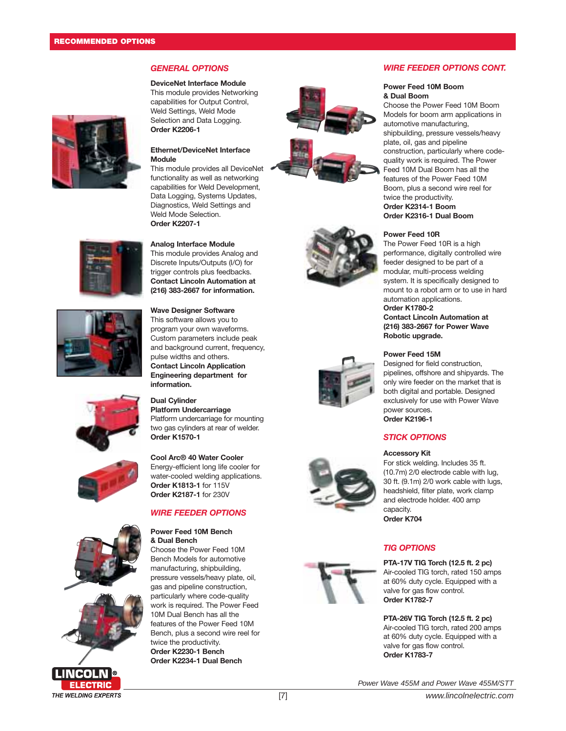# *GENERAL OPTIONS*

**DeviceNet Interface Module** This module provides Networking capabilities for Output Control, Weld Settings, Weld Mode Selection and Data Logging.



# **Order K2206-1 Ethernet/DeviceNet Interface**

**Module** This module provides all DeviceNet functionality as well as networking capabilities for Weld Development, Data Logging, Systems Updates, Diagnostics, Weld Settings and Weld Mode Selection. **Order K2207-1**

# **Analog Interface Module**

This module provides Analog and Discrete Inputs/Outputs (I/O) for trigger controls plus feedbacks. **Contact Lincoln Automation at (216) 383-2667 for information.**

# **Wave Designer Software**

This software allows you to program your own waveforms. Custom parameters include peak and background current, frequency, pulse widths and others. **Contact Lincoln Application Engineering department for information.**

# **Dual Cylinder**

**Platform Undercarriage** Platform undercarriage for mounting two gas cylinders at rear of welder. **Order K1570-1**

# **Cool Arc® 40 Water Cooler** Energy-efficient long life cooler for

water-cooled welding applications. **Order K1813-1** for 115V **Order K2187-1** for 230V

# *WIRE FEEDER OPTIONS*

#### **Power Feed 10M Bench & Dual Bench**

Choose the Power Feed 10M Bench Models for automotive manufacturing, shipbuilding, pressure vessels/heavy plate, oil, gas and pipeline construction, particularly where code-quality work is required. The Power Feed 10M Dual Bench has all the features of the Power Feed 10M Bench, plus a second wire reel for twice the productivity. **Order K2230-1 Bench Order K2234-1 Dual Bench**













# *WIRE FEEDER OPTIONS CONT.*

#### **Power Feed 10M Boom & Dual Boom**

Choose the Power Feed 10M Boom Models for boom arm applications in automotive manufacturing, shipbuilding, pressure vessels/heavy plate, oil, gas and pipeline construction, particularly where codequality work is required. The Power Feed 10M Dual Boom has all the features of the Power Feed 10M Boom, plus a second wire reel for twice the productivity. **Order K2314-1 Boom Order K2316-1 Dual Boom**

**Power Feed 10R**

# The Power Feed 10R is a high

performance, digitally controlled wire feeder designed to be part of a modular, multi-process welding system. It is specifically designed to mount to a robot arm or to use in hard automation applications.

**Order K1780-2 Contact Lincoln Automation at (216) 383-2667 for Power Wave Robotic upgrade.**

#### **Power Feed 15M**

Designed for field construction, pipelines, offshore and shipyards. The only wire feeder on the market that is both digital and portable. Designed exclusively for use with Power Wave power sources. **Order K2196-1**

# *STICK OPTIONS*

#### **Accessory Kit**

For stick welding. Includes 35 ft. (10.7m) 2/0 electrode cable with lug, 30 ft. (9.1m) 2/0 work cable with lugs, headshield, filter plate, work clamp and electrode holder. 400 amp capacity.

**Order K704**

# *TIG OPTIONS*

**PTA-17V TIG Torch (12.5 ft. 2 pc)** Air-cooled TIG torch, rated 150 amps at 60% duty cycle. Equipped with a valve for gas flow control. **Order K1782-7**

#### **PTA-26V TIG Torch (12.5 ft. 2 pc)**

Air-cooled TIG torch, rated 200 amps at 60% duty cycle. Equipped with a valve for gas flow control. **Order K1783-7**

Power Wave 455M and Power Wave 455M/STT